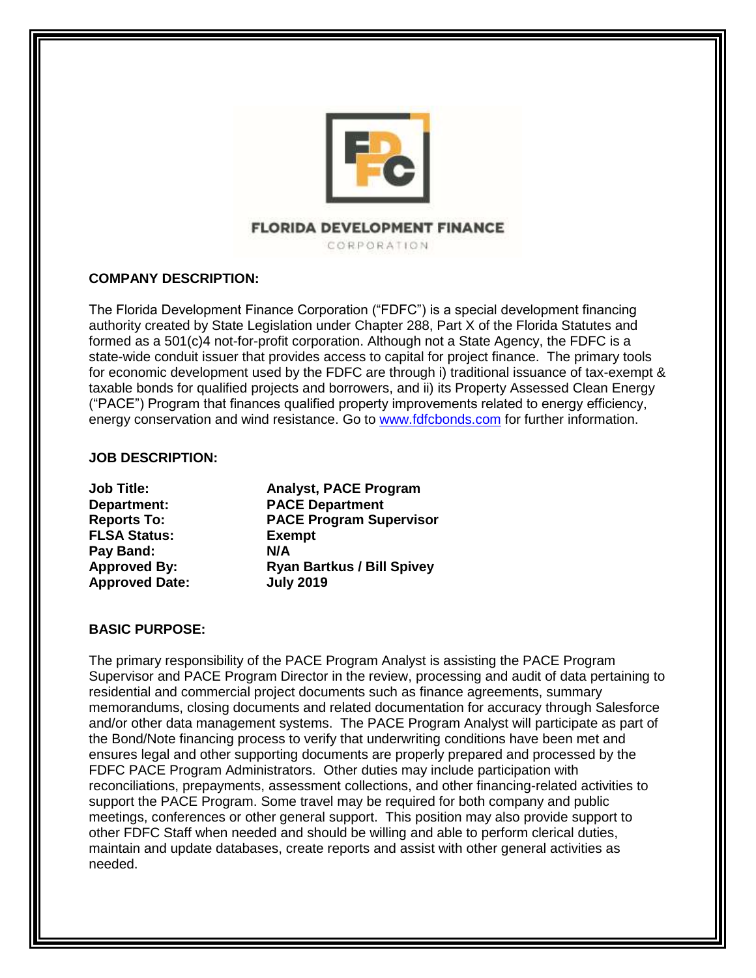

# **FLORIDA DEVELOPMENT FINANCE**

CORPORATION

## **COMPANY DESCRIPTION:**

The Florida Development Finance Corporation ("FDFC") is a special development financing authority created by State Legislation under Chapter 288, Part X of the Florida Statutes and formed as a 501(c)4 not-for-profit corporation. Although not a State Agency, the FDFC is a state-wide conduit issuer that provides access to capital for project finance. The primary tools for economic development used by the FDFC are through i) traditional issuance of tax-exempt & taxable bonds for qualified projects and borrowers, and ii) its Property Assessed Clean Energy ("PACE") Program that finances qualified property improvements related to energy efficiency, energy conservation and wind resistance. Go to [www.fdfcbonds.com](http://www.fdfcbonds.com/) for further information.

#### **JOB DESCRIPTION:**

| <b>Job Title:</b>     | <b>Analyst, PACE Program</b>      |
|-----------------------|-----------------------------------|
| Department:           | <b>PACE Department</b>            |
| <b>Reports To:</b>    | <b>PACE Program Supervisor</b>    |
| <b>FLSA Status:</b>   | <b>Exempt</b>                     |
| Pay Band:             | N/A                               |
| <b>Approved By:</b>   | <b>Ryan Bartkus / Bill Spivey</b> |
| <b>Approved Date:</b> | <b>July 2019</b>                  |

### **BASIC PURPOSE:**

The primary responsibility of the PACE Program Analyst is assisting the PACE Program Supervisor and PACE Program Director in the review, processing and audit of data pertaining to residential and commercial project documents such as finance agreements, summary memorandums, closing documents and related documentation for accuracy through Salesforce and/or other data management systems. The PACE Program Analyst will participate as part of the Bond/Note financing process to verify that underwriting conditions have been met and ensures legal and other supporting documents are properly prepared and processed by the FDFC PACE Program Administrators. Other duties may include participation with reconciliations, prepayments, assessment collections, and other financing-related activities to support the PACE Program. Some travel may be required for both company and public meetings, conferences or other general support. This position may also provide support to other FDFC Staff when needed and should be willing and able to perform clerical duties, maintain and update databases, create reports and assist with other general activities as needed.